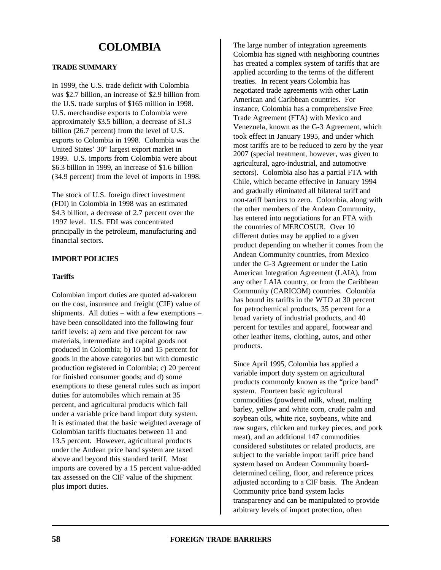# **TRADE SUMMARY**

In 1999, the U.S. trade deficit with Colombia was \$2.7 billion, an increase of \$2.9 billion from the U.S. trade surplus of \$165 million in 1998. U.S. merchandise exports to Colombia were approximately \$3.5 billion, a decrease of \$1.3 billion (26.7 percent) from the level of U.S. exports to Colombia in 1998. Colombia was the United States' 30<sup>th</sup> largest export market in 1999. U.S. imports from Colombia were about \$6.3 billion in 1999, an increase of \$1.6 billion (34.9 percent) from the level of imports in 1998.

The stock of U.S. foreign direct investment (FDI) in Colombia in 1998 was an estimated \$4.3 billion, a decrease of 2.7 percent over the 1997 level. U.S. FDI was concentrated principally in the petroleum, manufacturing and financial sectors.

# **IMPORT POLICIES**

#### **Tariffs**

Colombian import duties are quoted ad-valorem on the cost, insurance and freight (CIF) value of shipments. All duties – with a few exemptions – have been consolidated into the following four tariff levels: a) zero and five percent for raw materials, intermediate and capital goods not produced in Colombia; b) 10 and 15 percent for goods in the above categories but with domestic production registered in Colombia; c) 20 percent for finished consumer goods; and d) some exemptions to these general rules such as import duties for automobiles which remain at 35 percent, and agricultural products which fall under a variable price band import duty system. It is estimated that the basic weighted average of Colombian tariffs fluctuates between 11 and 13.5 percent. However, agricultural products under the Andean price band system are taxed above and beyond this standard tariff. Most imports are covered by a 15 percent value-added tax assessed on the CIF value of the shipment plus import duties.

The large number of integration agreements Colombia has signed with neighboring countries has created a complex system of tariffs that are applied according to the terms of the different treaties. In recent years Colombia has negotiated trade agreements with other Latin American and Caribbean countries. For instance, Colombia has a comprehensive Free Trade Agreement (FTA) with Mexico and Venezuela, known as the G-3 Agreement, which took effect in January 1995, and under which most tariffs are to be reduced to zero by the year 2007 (special treatment, however, was given to agricultural, agro-industrial, and automotive sectors). Colombia also has a partial FTA with Chile, which became effective in January 1994 and gradually eliminated all bilateral tariff and non-tariff barriers to zero. Colombia, along with the other members of the Andean Community, has entered into negotiations for an FTA with the countries of MERCOSUR. Over 10 different duties may be applied to a given product depending on whether it comes from the Andean Community countries, from Mexico under the G-3 Agreement or under the Latin American Integration Agreement (LAIA), from any other LAIA country, or from the Caribbean Community (CARICOM) countries. Colombia has bound its tariffs in the WTO at 30 percent for petrochemical products, 35 percent for a broad variety of industrial products, and 40 percent for textiles and apparel, footwear and other leather items, clothing, autos, and other products.

Since April 1995, Colombia has applied a variable import duty system on agricultural products commonly known as the "price band" system. Fourteen basic agricultural commodities (powdered milk, wheat, malting barley, yellow and white corn, crude palm and soybean oils, white rice, soybeans, white and raw sugars, chicken and turkey pieces, and pork meat), and an additional 147 commodities considered substitutes or related products, are subject to the variable import tariff price band system based on Andean Community boarddetermined ceiling, floor, and reference prices adjusted according to a CIF basis. The Andean Community price band system lacks transparency and can be manipulated to provide arbitrary levels of import protection, often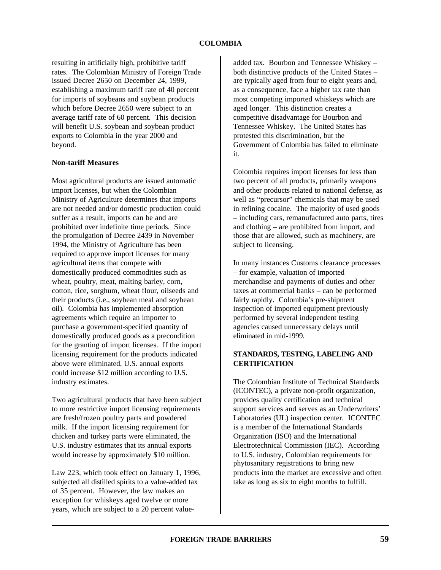resulting in artificially high, prohibitive tariff rates. The Colombian Ministry of Foreign Trade issued Decree 2650 on December 24, 1999, establishing a maximum tariff rate of 40 percent for imports of soybeans and soybean products which before Decree 2650 were subject to an average tariff rate of 60 percent. This decision will benefit U.S. soybean and soybean product exports to Colombia in the year 2000 and beyond.

#### **Non-tariff Measures**

Most agricultural products are issued automatic import licenses, but when the Colombian Ministry of Agriculture determines that imports are not needed and/or domestic production could suffer as a result, imports can be and are prohibited over indefinite time periods. Since the promulgation of Decree 2439 in November 1994, the Ministry of Agriculture has been required to approve import licenses for many agricultural items that compete with domestically produced commodities such as wheat, poultry, meat, malting barley, corn, cotton, rice, sorghum, wheat flour, oilseeds and their products (i.e., soybean meal and soybean oil). Colombia has implemented absorption agreements which require an importer to purchase a government-specified quantity of domestically produced goods as a precondition for the granting of import licenses. If the import licensing requirement for the products indicated above were eliminated, U.S. annual exports could increase \$12 million according to U.S. industry estimates.

Two agricultural products that have been subject to more restrictive import licensing requirements are fresh/frozen poultry parts and powdered milk. If the import licensing requirement for chicken and turkey parts were eliminated, the U.S. industry estimates that its annual exports would increase by approximately \$10 million.

Law 223, which took effect on January 1, 1996, subjected all distilled spirits to a value-added tax of 35 percent. However, the law makes an exception for whiskeys aged twelve or more years, which are subject to a 20 percent value-

added tax. Bourbon and Tennessee Whiskey – both distinctive products of the United States – are typically aged from four to eight years and, as a consequence, face a higher tax rate than most competing imported whiskeys which are aged longer. This distinction creates a competitive disadvantage for Bourbon and Tennessee Whiskey. The United States has protested this discrimination, but the Government of Colombia has failed to eliminate it.

Colombia requires import licenses for less than two percent of all products, primarily weapons and other products related to national defense, as well as "precursor" chemicals that may be used in refining cocaine. The majority of used goods – including cars, remanufactured auto parts, tires and clothing – are prohibited from import, and those that are allowed, such as machinery, are subject to licensing.

In many instances Customs clearance processes – for example, valuation of imported merchandise and payments of duties and other taxes at commercial banks – can be performed fairly rapidly. Colombia's pre-shipment inspection of imported equipment previously performed by several independent testing agencies caused unnecessary delays until eliminated in mid-1999.

# **STANDARDS, TESTING, LABELING AND CERTIFICATION**

The Colombian Institute of Technical Standards (ICONTEC), a private non-profit organization, provides quality certification and technical support services and serves as an Underwriters' Laboratories (UL) inspection center. ICONTEC is a member of the International Standards Organization (ISO) and the International Electrotechnical Commission (IEC). According to U.S. industry, Colombian requirements for phytosanitary registrations to bring new products into the market are excessive and often take as long as six to eight months to fulfill.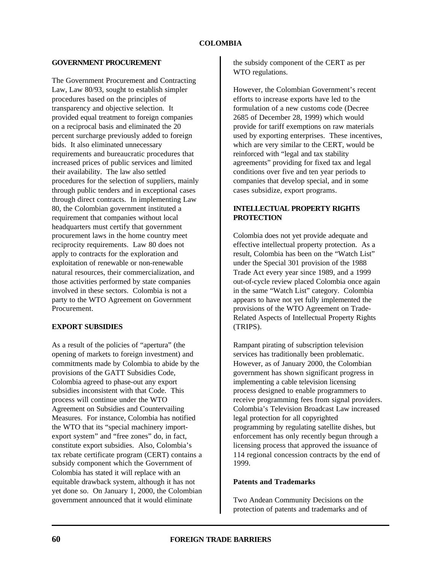# **GOVERNMENT PROCUREMENT**

The Government Procurement and Contracting Law, Law 80/93, sought to establish simpler procedures based on the principles of transparency and objective selection. It provided equal treatment to foreign companies on a reciprocal basis and eliminated the 20 percent surcharge previously added to foreign bids. It also eliminated unnecessary requirements and bureaucratic procedures that increased prices of public services and limited their availability. The law also settled procedures for the selection of suppliers, mainly through public tenders and in exceptional cases through direct contracts. In implementing Law 80, the Colombian government instituted a requirement that companies without local headquarters must certify that government procurement laws in the home country meet reciprocity requirements. Law 80 does not apply to contracts for the exploration and exploitation of renewable or non-renewable natural resources, their commercialization, and those activities performed by state companies involved in these sectors. Colombia is not a party to the WTO Agreement on Government Procurement.

# **EXPORT SUBSIDIES**

As a result of the policies of "apertura" (the opening of markets to foreign investment) and commitments made by Colombia to abide by the provisions of the GATT Subsidies Code, Colombia agreed to phase-out any export subsidies inconsistent with that Code. This process will continue under the WTO Agreement on Subsidies and Countervailing Measures. For instance, Colombia has notified the WTO that its "special machinery importexport system" and "free zones" do, in fact, constitute export subsidies. Also, Colombia's tax rebate certificate program (CERT) contains a subsidy component which the Government of Colombia has stated it will replace with an equitable drawback system, although it has not yet done so. On January 1, 2000, the Colombian government announced that it would eliminate

the subsidy component of the CERT as per WTO regulations.

However, the Colombian Government's recent efforts to increase exports have led to the formulation of a new customs code (Decree 2685 of December 28, 1999) which would provide for tariff exemptions on raw materials used by exporting enterprises. These incentives, which are very similar to the CERT, would be reinforced with "legal and tax stability agreements" providing for fixed tax and legal conditions over five and ten year periods to companies that develop special, and in some cases subsidize, export programs.

# **INTELLECTUAL PROPERTY RIGHTS PROTECTION**

Colombia does not yet provide adequate and effective intellectual property protection. As a result, Colombia has been on the "Watch List" under the Special 301 provision of the 1988 Trade Act every year since 1989, and a 1999 out-of-cycle review placed Colombia once again in the same "Watch List" category. Colombia appears to have not yet fully implemented the provisions of the WTO Agreement on Trade-Related Aspects of Intellectual Property Rights (TRIPS).

Rampant pirating of subscription television services has traditionally been problematic. However, as of January 2000, the Colombian government has shown significant progress in implementing a cable television licensing process designed to enable programmers to receive programming fees from signal providers. Colombia's Television Broadcast Law increased legal protection for all copyrighted programming by regulating satellite dishes, but enforcement has only recently begun through a licensing process that approved the issuance of 114 regional concession contracts by the end of 1999.

# **Patents and Trademarks**

Two Andean Community Decisions on the protection of patents and trademarks and of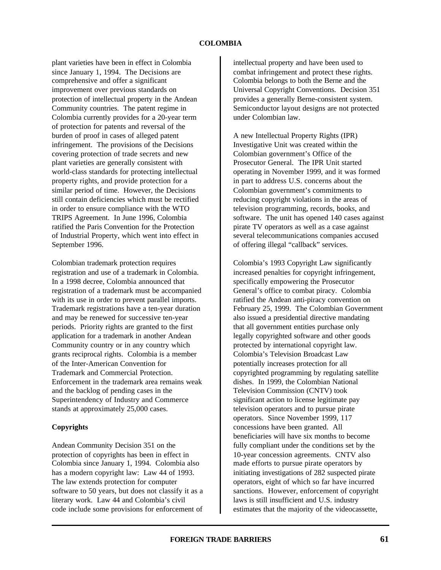plant varieties have been in effect in Colombia since January 1, 1994. The Decisions are comprehensive and offer a significant improvement over previous standards on protection of intellectual property in the Andean Community countries. The patent regime in Colombia currently provides for a 20-year term of protection for patents and reversal of the burden of proof in cases of alleged patent infringement. The provisions of the Decisions covering protection of trade secrets and new plant varieties are generally consistent with world-class standards for protecting intellectual property rights, and provide protection for a similar period of time. However, the Decisions still contain deficiencies which must be rectified in order to ensure compliance with the WTO TRIPS Agreement. In June 1996, Colombia ratified the Paris Convention for the Protection of Industrial Property, which went into effect in September 1996.

Colombian trademark protection requires registration and use of a trademark in Colombia. In a 1998 decree, Colombia announced that registration of a trademark must be accompanied with its use in order to prevent parallel imports. Trademark registrations have a ten-year duration and may be renewed for successive ten-year periods. Priority rights are granted to the first application for a trademark in another Andean Community country or in any country which grants reciprocal rights. Colombia is a member of the Inter-American Convention for Trademark and Commercial Protection. Enforcement in the trademark area remains weak and the backlog of pending cases in the Superintendency of Industry and Commerce stands at approximately 25,000 cases.

# **Copyrights**

Andean Community Decision 351 on the protection of copyrights has been in effect in Colombia since January 1, 1994. Colombia also has a modern copyright law: Law 44 of 1993. The law extends protection for computer software to 50 years, but does not classify it as a literary work. Law 44 and Colombia's civil code include some provisions for enforcement of

intellectual property and have been used to combat infringement and protect these rights. Colombia belongs to both the Berne and the Universal Copyright Conventions. Decision 351 provides a generally Berne-consistent system. Semiconductor layout designs are not protected under Colombian law.

A new Intellectual Property Rights (IPR) Investigative Unit was created within the Colombian government's Office of the Prosecutor General. The IPR Unit started operating in November 1999, and it was formed in part to address U.S. concerns about the Colombian government's commitments to reducing copyright violations in the areas of television programming, records, books, and software. The unit has opened 140 cases against pirate TV operators as well as a case against several telecommunications companies accused of offering illegal "callback" services.

Colombia's 1993 Copyright Law significantly increased penalties for copyright infringement, specifically empowering the Prosecutor General's office to combat piracy. Colombia ratified the Andean anti-piracy convention on February 25, 1999. The Colombian Government also issued a presidential directive mandating that all government entities purchase only legally copyrighted software and other goods protected by international copyright law. Colombia's Television Broadcast Law potentially increases protection for all copyrighted programming by regulating satellite dishes. In 1999, the Colombian National Television Commission (CNTV) took significant action to license legitimate pay television operators and to pursue pirate operators. Since November 1999, 117 concessions have been granted. All beneficiaries will have six months to become fully compliant under the conditions set by the 10-year concession agreements. CNTV also made efforts to pursue pirate operators by initiating investigations of 282 suspected pirate operators, eight of which so far have incurred sanctions. However, enforcement of copyright laws is still insufficient and U.S. industry estimates that the majority of the videocassette,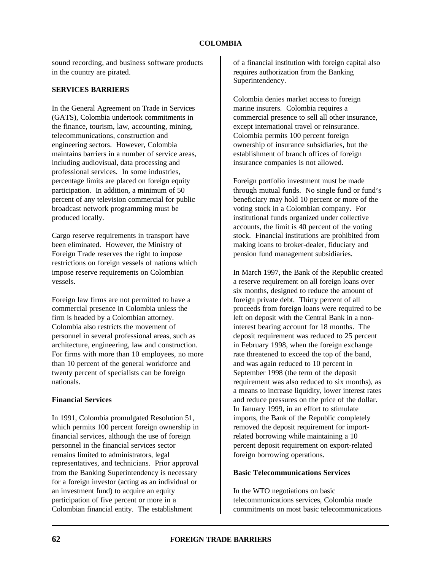sound recording, and business software products in the country are pirated.

#### **SERVICES BARRIERS**

In the General Agreement on Trade in Services (GATS), Colombia undertook commitments in the finance, tourism, law, accounting, mining, telecommunications, construction and engineering sectors. However, Colombia maintains barriers in a number of service areas, including audiovisual, data processing and professional services. In some industries, percentage limits are placed on foreign equity participation. In addition, a minimum of 50 percent of any television commercial for public broadcast network programming must be produced locally.

Cargo reserve requirements in transport have been eliminated. However, the Ministry of Foreign Trade reserves the right to impose restrictions on foreign vessels of nations which impose reserve requirements on Colombian vessels.

Foreign law firms are not permitted to have a commercial presence in Colombia unless the firm is headed by a Colombian attorney. Colombia also restricts the movement of personnel in several professional areas, such as architecture, engineering, law and construction. For firms with more than 10 employees, no more than 10 percent of the general workforce and twenty percent of specialists can be foreign nationals.

#### **Financial Services**

In 1991, Colombia promulgated Resolution 51, which permits 100 percent foreign ownership in financial services, although the use of foreign personnel in the financial services sector remains limited to administrators, legal representatives, and technicians. Prior approval from the Banking Superintendency is necessary for a foreign investor (acting as an individual or an investment fund) to acquire an equity participation of five percent or more in a Colombian financial entity. The establishment

of a financial institution with foreign capital also requires authorization from the Banking Superintendency.

Colombia denies market access to foreign marine insurers. Colombia requires a commercial presence to sell all other insurance, except international travel or reinsurance. Colombia permits 100 percent foreign ownership of insurance subsidiaries, but the establishment of branch offices of foreign insurance companies is not allowed.

Foreign portfolio investment must be made through mutual funds. No single fund or fund's beneficiary may hold 10 percent or more of the voting stock in a Colombian company. For institutional funds organized under collective accounts, the limit is 40 percent of the voting stock. Financial institutions are prohibited from making loans to broker-dealer, fiduciary and pension fund management subsidiaries.

In March 1997, the Bank of the Republic created a reserve requirement on all foreign loans over six months, designed to reduce the amount of foreign private debt. Thirty percent of all proceeds from foreign loans were required to be left on deposit with the Central Bank in a noninterest bearing account for 18 months. The deposit requirement was reduced to 25 percent in February 1998, when the foreign exchange rate threatened to exceed the top of the band, and was again reduced to 10 percent in September 1998 (the term of the deposit requirement was also reduced to six months), as a means to increase liquidity, lower interest rates and reduce pressures on the price of the dollar. In January 1999, in an effort to stimulate imports, the Bank of the Republic completely removed the deposit requirement for importrelated borrowing while maintaining a 10 percent deposit requirement on export-related foreign borrowing operations.

# **Basic Telecommunications Services**

In the WTO negotiations on basic telecommunications services, Colombia made commitments on most basic telecommunications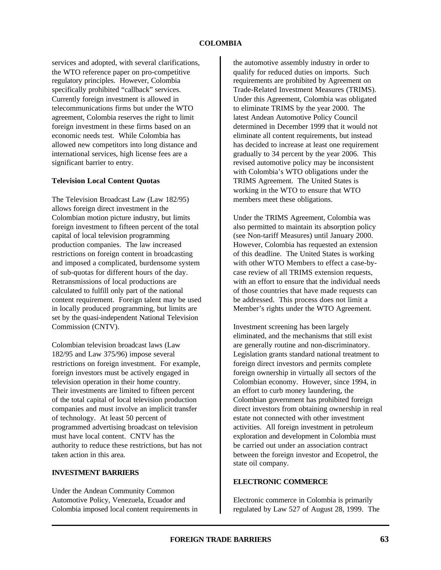services and adopted, with several clarifications, the WTO reference paper on pro-competitive regulatory principles. However, Colombia specifically prohibited "callback" services. Currently foreign investment is allowed in telecommunications firms but under the WTO agreement, Colombia reserves the right to limit foreign investment in these firms based on an economic needs test. While Colombia has allowed new competitors into long distance and international services, high license fees are a significant barrier to entry.

# **Television Local Content Quotas**

The Television Broadcast Law (Law 182/95) allows foreign direct investment in the Colombian motion picture industry, but limits foreign investment to fifteen percent of the total capital of local television programming production companies. The law increased restrictions on foreign content in broadcasting and imposed a complicated, burdensome system of sub-quotas for different hours of the day. Retransmissions of local productions are calculated to fulfill only part of the national content requirement. Foreign talent may be used in locally produced programming, but limits are set by the quasi-independent National Television Commission (CNTV).

Colombian television broadcast laws (Law 182/95 and Law 375/96) impose several restrictions on foreign investment. For example, foreign investors must be actively engaged in television operation in their home country. Their investments are limited to fifteen percent of the total capital of local television production companies and must involve an implicit transfer of technology. At least 50 percent of programmed advertising broadcast on television must have local content. CNTV has the authority to reduce these restrictions, but has not taken action in this area.

#### **INVESTMENT BARRIERS**

Under the Andean Community Common Automotive Policy, Venezuela, Ecuador and Colombia imposed local content requirements in the automotive assembly industry in order to qualify for reduced duties on imports. Such requirements are prohibited by Agreement on Trade-Related Investment Measures (TRIMS). Under this Agreement, Colombia was obligated to eliminate TRIMS by the year 2000. The latest Andean Automotive Policy Council determined in December 1999 that it would not eliminate all content requirements, but instead has decided to increase at least one requirement gradually to 34 percent by the year 2006. This revised automotive policy may be inconsistent with Colombia's WTO obligations under the TRIMS Agreement. The United States is working in the WTO to ensure that WTO members meet these obligations.

Under the TRIMS Agreement, Colombia was also permitted to maintain its absorption policy (see Non-tariff Measures) until January 2000. However, Colombia has requested an extension of this deadline. The United States is working with other WTO Members to effect a case-bycase review of all TRIMS extension requests, with an effort to ensure that the individual needs of those countries that have made requests can be addressed. This process does not limit a Member's rights under the WTO Agreement.

Investment screening has been largely eliminated, and the mechanisms that still exist are generally routine and non-discriminatory. Legislation grants standard national treatment to foreign direct investors and permits complete foreign ownership in virtually all sectors of the Colombian economy. However, since 1994, in an effort to curb money laundering, the Colombian government has prohibited foreign direct investors from obtaining ownership in real estate not connected with other investment activities. All foreign investment in petroleum exploration and development in Colombia must be carried out under an association contract between the foreign investor and Ecopetrol, the state oil company.

# **ELECTRONIC COMMERCE**

Electronic commerce in Colombia is primarily regulated by Law 527 of August 28, 1999. The